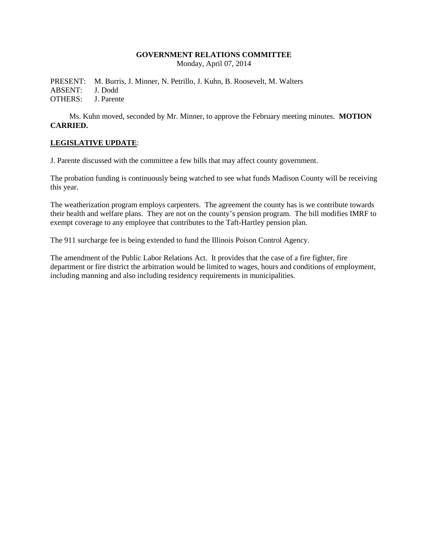### **GOVERNMENT RELATIONS COMMITTEE**

Monday, April 07, 2014

PRESENT: M. Burris, J. Minner, N. Petrillo, J. Kuhn, B. Roosevelt, M. Walters ABSENT: J. Dodd OTHERS: J. Parente

Ms. Kuhn moved, seconded by Mr. Minner, to approve the February meeting minutes. **MOTION CARRIED.**

### **LEGISLATIVE UPDATE**:

J. Parente discussed with the committee a few bills that may affect county government.

The probation funding is continuously being watched to see what funds Madison County will be receiving this year.

The weatherization program employs carpenters. The agreement the county has is we contribute towards their health and welfare plans. They are not on the county's pension program. The bill modifies IMRF to exempt coverage to any employee that contributes to the Taft-Hartley pension plan.

The 911 surcharge fee is being extended to fund the Illinois Poison Control Agency.

The amendment of the Public Labor Relations Act. It provides that the case of a fire fighter, fire department or fire district the arbitration would be limited to wages, hours and conditions of employment, including manning and also including residency requirements in municipalities.